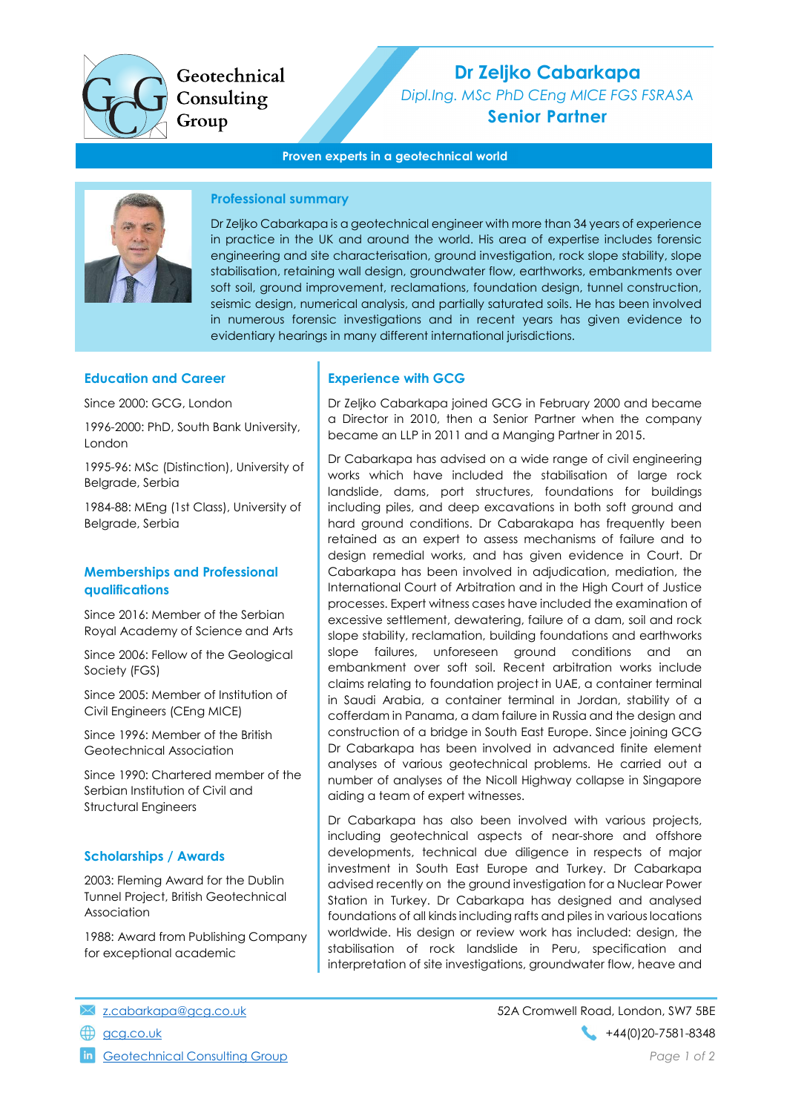

Geotechnical Consulting Group

# Dr Zeljko Cabarkapa

Dipl.Ing. MSc PhD CEng MICE FGS FSRASA Senior Partner

#### Proven experts in a geotechnical world



#### Professional summary

Dr Zeljko Cabarkapa is a geotechnical engineer with more than 34 years of experience in practice in the UK and around the world. His area of expertise includes forensic engineering and site characterisation, ground investigation, rock slope stability, slope stabilisation, retaining wall design, groundwater flow, earthworks, embankments over soft soil, ground improvement, reclamations, foundation design, tunnel construction, seismic design, numerical analysis, and partially saturated soils. He has been involved in numerous forensic investigations and in recent years has given evidence to evidentiary hearings in many different international jurisdictions.

#### Education and Career

Since 2000: GCG, London

1996-2000: PhD, South Bank University, London

1995-96: MSc (Distinction), University of Belgrade, Serbia

1984-88: MEng (1st Class), University of Belgrade, Serbia

#### Memberships and Professional qualifications

Since 2016: Member of the Serbian Royal Academy of Science and Arts

Since 2006: Fellow of the Geological Society (FGS)

Since 2005: Member of Institution of Civil Engineers (CEng MICE)

Since 1996: Member of the British Geotechnical Association

Since 1990: Chartered member of the Serbian Institution of Civil and Structural Engineers

#### Scholarships / Awards

2003: Fleming Award for the Dublin Tunnel Project, British Geotechnical Association

1988: Award from Publishing Company for exceptional academic

#### Experience with GCG

Dr Zeljko Cabarkapa joined GCG in February 2000 and became a Director in 2010, then a Senior Partner when the company became an LLP in 2011 and a Manging Partner in 2015.

Dr Cabarkapa has advised on a wide range of civil engineering works which have included the stabilisation of large rock landslide, dams, port structures, foundations for buildings including piles, and deep excavations in both soft ground and hard ground conditions. Dr Cabarakapa has frequently been retained as an expert to assess mechanisms of failure and to design remedial works, and has given evidence in Court. Dr Cabarkapa has been involved in adjudication, mediation, the International Court of Arbitration and in the High Court of Justice processes. Expert witness cases have included the examination of excessive settlement, dewatering, failure of a dam, soil and rock slope stability, reclamation, building foundations and earthworks slope failures, unforeseen ground conditions and an embankment over soft soil. Recent arbitration works include claims relating to foundation project in UAE, a container terminal in Saudi Arabia, a container terminal in Jordan, stability of a cofferdam in Panama, a dam failure in Russia and the design and construction of a bridge in South East Europe. Since joining GCG Dr Cabarkapa has been involved in advanced finite element analyses of various geotechnical problems. He carried out a number of analyses of the Nicoll Highway collapse in Singapore aiding a team of expert witnesses.

Dr Cabarkapa has also been involved with various projects, including geotechnical aspects of near-shore and offshore developments, technical due diligence in respects of major investment in South East Europe and Turkey. Dr Cabarkapa advised recently on the ground investigation for a Nuclear Power Station in Turkey. Dr Cabarkapa has designed and analysed foundations of all kinds including rafts and piles in various locations worldwide. His design or review work has included: design, the stabilisation of rock landslide in Peru, specification and interpretation of site investigations, groundwater flow, heave and

- 
- 

Geotechnical Consulting Group **Page 1 of 2** and 2 of 2 and 2 of 2 and 2 of 2 and 2 of 2 and 2 of 2 and 2 of 2 and 2 of 2 and 2 of 2 and 2 of 2 and 2 of 2 and 2 of 2 and 2 of 2 and 2 of 2 and 2 of 2 and 2 of 2 and 2 of 2 an

z.cabarkapa@gcg.co.uk 52A Cromwell Road, London, SW7 5BE gcg.co.uk +44(0)20-7581-8348